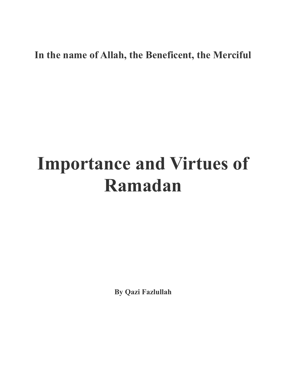## **In the name of Allah, the Beneficent, the Merciful**

## **Importance and Virtues of Ramadan**

**By Qazi Fazlullah**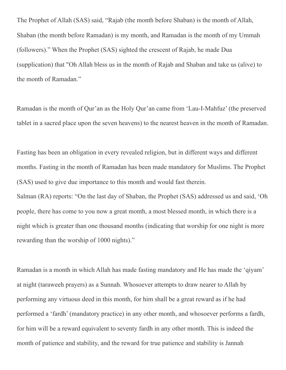The Prophet of Allah (SAS) said, "Rajab (the month before Shaban) is the month of Allah, Shaban (the month before Ramadan) is my month, and Ramadan is the month of my Ummah (followers)." When the Prophet (SAS) sighted the crescent of Rajab, he made Dua (supplication) that "Oh Allah bless us in the month of Rajab and Shaban and take us (alive) to the month of Ramadan."

Ramadan is the month of Qur'an as the Holy Qur'an came from 'Lau-I-Mahfuz' (the preserved tablet in a sacred place upon the seven heavens) to the nearest heaven in the month of Ramadan.

Fasting has been an obligation in every revealed religion, but in different ways and different months. Fasting in the month of Ramadan has been made mandatory for Muslims. The Prophet (SAS) used to give due importance to this month and would fast therein.

Salman (RA) reports: "On the last day of Shaban, the Prophet (SAS) addressed us and said, 'Oh people, there has come to you now a great month, a most blessed month, in which there is a night which is greater than one thousand months (indicating that worship for one night is more rewarding than the worship of 1000 nights)."

Ramadan is a month in which Allah has made fasting mandatory and He has made the 'qiyam' at night (taraweeh prayers) as a Sunnah. Whosoever attempts to draw nearer to Allah by performing any virtuous deed in this month, for him shall be a great reward as if he had performed a 'fardh' (mandatory practice) in any other month, and whosoever performs a fardh, for him will be a reward equivalent to seventy fardh in any other month. This is indeed the month of patience and stability, and the reward for true patience and stability is Jannah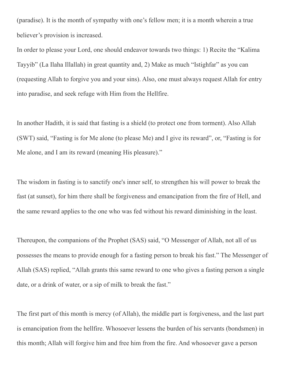(paradise). It is the month of sympathy with one's fellow men; it is a month wherein a true believer's provision is increased.

In order to please your Lord, one should endeavor towards two things: 1) Recite the "Kalima Tayyib" (La Ilaha Illallah) in great quantity and, 2) Make as much "Istighfar" as you can (requesting Allah to forgive you and your sins). Also, one must always request Allah for entry into paradise, and seek refuge with Him from the Hellfire.

In another Hadith, it is said that fasting is a shield (to protect one from torment). Also Allah (SWT) said, "Fasting is for Me alone (to please Me) and I give its reward", or, "Fasting is for Me alone, and I am its reward (meaning His pleasure)."

The wisdom in fasting is to sanctify one's inner self, to strengthen his will power to break the fast (at sunset), for him there shall be forgiveness and emancipation from the fire of Hell, and the same reward applies to the one who was fed without his reward diminishing in the least.

Thereupon, the companions of the Prophet (SAS) said, "O Messenger of Allah, not all of us possesses the means to provide enough for a fasting person to break his fast." The Messenger of Allah (SAS) replied, "Allah grants this same reward to one who gives a fasting person a single date, or a drink of water, or a sip of milk to break the fast."

The first part of this month is mercy (of Allah), the middle part is forgiveness, and the last part is emancipation from the hellfire. Whosoever lessens the burden of his servants (bondsmen) in this month; Allah will forgive him and free him from the fire. And whosoever gave a person